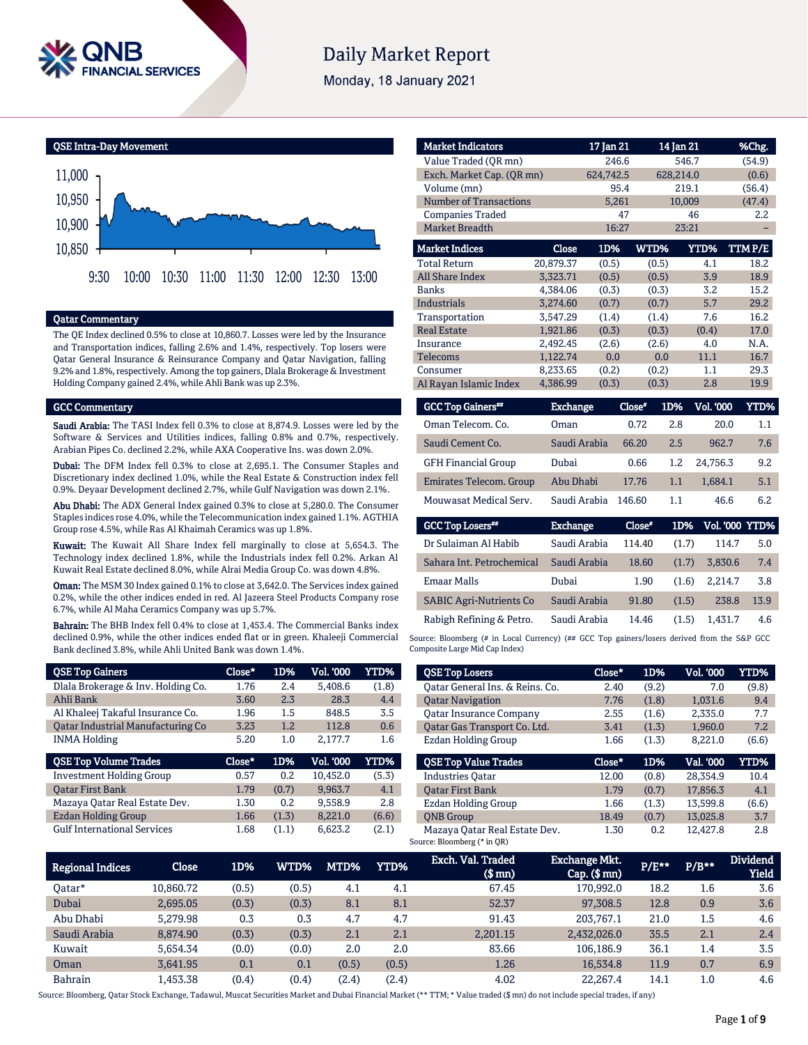

# **Daily Market Report**

Monday, 18 January 2021



### Qatar Commentary

The QE Index declined 0.5% to close at 10,860.7. Losses were led by the Insurance and Transportation indices, falling 2.6% and 1.4%, respectively. Top losers were Qatar General Insurance & Reinsurance Company and Qatar Navigation, falling 9.2% and 1.8%, respectively. Among the top gainers, Dlala Brokerage & Investment Holding Company gained 2.4%, while Ahli Bank was up 2.3%.

#### GCC Commentary

Saudi Arabia: The TASI Index fell 0.3% to close at 8,874.9. Losses were led by the Software & Services and Utilities indices, falling 0.8% and 0.7%, respectively. Arabian Pipes Co. declined 2.2%, while AXA Cooperative Ins. was down 2.0%.

Dubai: The DFM Index fell 0.3% to close at 2,695.1. The Consumer Staples and Discretionary index declined 1.0%, while the Real Estate & Construction index fell 0.9%. Deyaar Development declined 2.7%, while Gulf Navigation was down 2.1%.

Abu Dhabi: The ADX General Index gained 0.3% to close at 5,280.0. The Consumer Staples indices rose 4.0%, while the Telecommunication index gained 1.1%. AGTHIA Group rose 4.5%, while Ras Al Khaimah Ceramics was up 1.8%.

Kuwait: The Kuwait All Share Index fell marginally to close at 5,654.3. The Technology index declined 1.8%, while the Industrials index fell 0.2%. Arkan Al Kuwait Real Estate declined 8.0%, while Alrai Media Group Co. was down 4.8%.

Oman: The MSM 30 Index gained 0.1% to close at 3,642.0. The Services index gained 0.2%, while the other indices ended in red. Al Jazeera Steel Products Company rose 6.7%, while Al Maha Ceramics Company was up 5.7%.

Bahrain: The BHB Index fell 0.4% to close at 1,453.4. The Commercial Banks index declined 0.9%, while the other indices ended flat or in green. Khaleeji Commercial Bank declined 3.8%, while Ahli United Bank was down 1.4%.

| <b>QSE Top Gainers</b>             | Close* | 1D%   | Vol. '000 | YTD%  |
|------------------------------------|--------|-------|-----------|-------|
| Dlala Brokerage & Inv. Holding Co. | 1.76   | 2.4   | 5.408.6   | (1.8) |
| Ahli Bank                          | 3.60   | 2.3   | 28.3      | 4.4   |
| Al Khaleej Takaful Insurance Co.   | 1.96   | 1.5   | 848.5     | 3.5   |
| Oatar Industrial Manufacturing Co  | 3.23   | 1.2   | 112.8     | 0.6   |
| <b>INMA Holding</b>                | 5.20   | 1.0   | 2,177.7   | 1.6   |
|                                    |        |       |           |       |
| <b>QSE Top Volume Trades</b>       | Close* | 1D%   | Vol. '000 | YTD%  |
| <b>Investment Holding Group</b>    | 0.57   | 0.2   | 10.452.0  | (5.3) |
| <b>Oatar First Bank</b>            | 1.79   | (0.7) | 9,963.7   | 4.1   |
| Mazaya Qatar Real Estate Dev.      | 1.30   | 0.2   | 9.558.9   | 2.8   |
| Ezdan Holding Group                | 1.66   | (1.3) | 8.221.0   | (6.6) |

| <b>Market Indicators</b>      |           | 17 Jan 21 |       | 14 Jan 21   | %Chg.  |
|-------------------------------|-----------|-----------|-------|-------------|--------|
| Value Traded (OR mn)          |           | 246.6     |       | 546.7       | (54.9) |
| Exch. Market Cap. (OR mn)     |           | 624,742.5 |       | 628,214.0   | (0.6)  |
| Volume (mn)                   |           | 95.4      |       | 219.1       | (56.4) |
| <b>Number of Transactions</b> |           | 5,261     |       | 10,009      | (47.4) |
| <b>Companies Traded</b>       |           | 47        |       | 46          | 2.2    |
| <b>Market Breadth</b>         |           | 16:27     |       | 23:21       |        |
| <b>Market Indices</b>         | Close     | 1D%       | WTD%  | <b>YTD%</b> | TTMP/E |
| <b>Total Return</b>           | 20.879.37 | (0.5)     | (0.5) | 4.1         | 18.2   |
| <b>All Share Index</b>        | 3,323.71  | (0.5)     | (0.5) | 3.9         | 18.9   |
| <b>Banks</b>                  | 4,384.06  | (0.3)     | (0.3) | 3.2         | 15.2   |
| <b>Industrials</b>            | 3,274.60  | (0.7)     | (0.7) | 5.7         | 29.2   |
| Transportation                | 3,547.29  | (1.4)     | (1.4) | 7.6         | 16.2   |
| <b>Real Estate</b>            | 1,921.86  | (0.3)     | (0.3) | (0.4)       | 17.0   |
| Insurance                     | 2,492.45  | (2.6)     | (2.6) | 4.0         | N.A.   |
| <b>Telecoms</b>               | 1.122.74  | 0.0       | 0.0   | 11.1        | 16.7   |
| Consumer                      | 8,233.65  | (0.2)     | (0.2) | 1.1         | 29.3   |
| Al Rayan Islamic Index        | 4,386.99  | (0.3)     | (0.3) | 2.8         | 19.9   |

| <b>GCC Top Gainers</b>     | Exchange     | Close" | 1D%     | <b>Vol. '000</b> | YTD% |
|----------------------------|--------------|--------|---------|------------------|------|
| Oman Telecom. Co.          | Oman         | 0.72   | 2.8     | 20.0             | 1.1  |
| Saudi Cement Co.           | Saudi Arabia | 66.20  | 2.5     | 962.7            | 7.6  |
| <b>GFH Financial Group</b> | Dubai        | 0.66   | $1.2\,$ | 24.756.3         | 9.2  |
| Emirates Telecom. Group    | Abu Dhabi    | 17.76  | 1.1     | 1.684.1          | 5.1  |
| Mouwasat Medical Serv.     | Saudi Arabia | 146.60 | 1.1     | 46.6             | 6.2  |

| <b>GCC Top Losers</b>          | <b>Exchange</b> | Close" | 1D%   | <b>Vol. '000 YTD%</b> |      |
|--------------------------------|-----------------|--------|-------|-----------------------|------|
| Dr Sulaiman Al Habib           | Saudi Arabia    | 114.40 | (1.7) | 114.7                 | 5.0  |
| Sahara Int. Petrochemical      | Saudi Arabia    | 18.60  | (1.7) | 3.830.6               | 7.4  |
| <b>Emaar Malls</b>             | Dubai           | 1.90   | (1.6) | 2.214.7               | 3.8  |
| <b>SABIC Agri-Nutrients Co</b> | Saudi Arabia    | 91.80  | (1.5) | 238.8                 | 13.9 |
| Rabigh Refining & Petro.       | Saudi Arabia    | 14.46  | (1.5) | 1.431.7               | 4.6  |

Source: Bloomberg (# in Local Currency) (## GCC Top gainers/losers derived from the S&P GCC Composite Large Mid Cap Index)

| <b>QSE Top Losers</b>           | Close* | 1D%   | <b>Vol. '000</b> | YTD%  |
|---------------------------------|--------|-------|------------------|-------|
| Oatar General Ins. & Reins. Co. | 2.40   | (9.2) | 7.0              | (9.8) |
| <b>Qatar Navigation</b>         | 7.76   | (1.8) | 1.031.6          | 9.4   |
| <b>Oatar Insurance Company</b>  | 2.55   | (1.6) | 2.335.0          | 7.7   |
| Oatar Gas Transport Co. Ltd.    | 3.41   | (1.3) | 1.960.0          | 7.2   |
| Ezdan Holding Group             | 1.66   | (1.3) | 8.221.0          | (6.6) |
| <b>OSE Top Value Trades</b>     | Close* | 1D%   | Val. '000        | YTD%  |
| <b>Industries Oatar</b>         | 12.00  | (0.8) | 28.354.9         | 10.4  |
| <b>Oatar First Bank</b>         | 1.79   | (0.7) | 17.856.3         | 4.1   |
| Ezdan Holding Group             | 1.66   | (1.3) | 13.599.8         | (6.6) |
|                                 |        |       |                  |       |
| <b>ONB</b> Group                | 18.49  | (0.7) | 13.025.8         | 3.7   |

| <b>Regional Indices</b> | Close     | 1D%   | <b>WTD%</b> | MTD%  | YTD%  | Exch. Val. Traded<br>$$$ mm $)$ | Exchange Mkt.<br>$Cap.$ $(\$$ mn) | $P/E***$ | $P/B**$ | <b>Dividend</b><br><b>Yield</b> |
|-------------------------|-----------|-------|-------------|-------|-------|---------------------------------|-----------------------------------|----------|---------|---------------------------------|
| Oatar*                  | 10.860.72 | (0.5) | (0.5)       | 4.1   | 4.1   | 67.45                           | 170.992.0                         | 18.2     | 1.6     | 3.6                             |
| Dubai                   | 2.695.05  | (0.3) | (0.3)       | 8.1   | 8.1   | 52.37                           | 97,308.5                          | 12.8     | 0.9     | 3.6                             |
| Abu Dhabi               | 5.279.98  | 0.3   | 0.3         | 4.7   | 4.7   | 91.43                           | 203.767.1                         | 21.0     | 1.5     | 4.6                             |
| Saudi Arabia            | 8.874.90  | (0.3) | (0.3)       | 2.1   | 2.1   | 2.201.15                        | 2,432,026.0                       | 35.5     | 2.1     | 2.4                             |
| Kuwait                  | 5.654.34  | (0.0) | (0.0)       | 2.0   | 2.0   | 83.66                           | 106.186.9                         | 36.1     | 1.4     | 3.5                             |
| Oman                    | 3.641.95  | 0.1   | 0.1         | (0.5) | (0.5) | 1.26                            | 16.534.8                          | 11.9     | 0.7     | 6.9                             |
| <b>Bahrain</b>          | 1.453.38  | (0.4) | (0.4)       | (2.4) | (2.4) | 4.02                            | 22.267.4                          | 14.1     | $1.0\,$ | 4.6                             |

Source: Bloomberg, Qatar Stock Exchange, Tadawul, Muscat Securities Market and Dubai Financial Market (\*\* TTM; \* Value traded (\$ mn) do not include special trades, if any)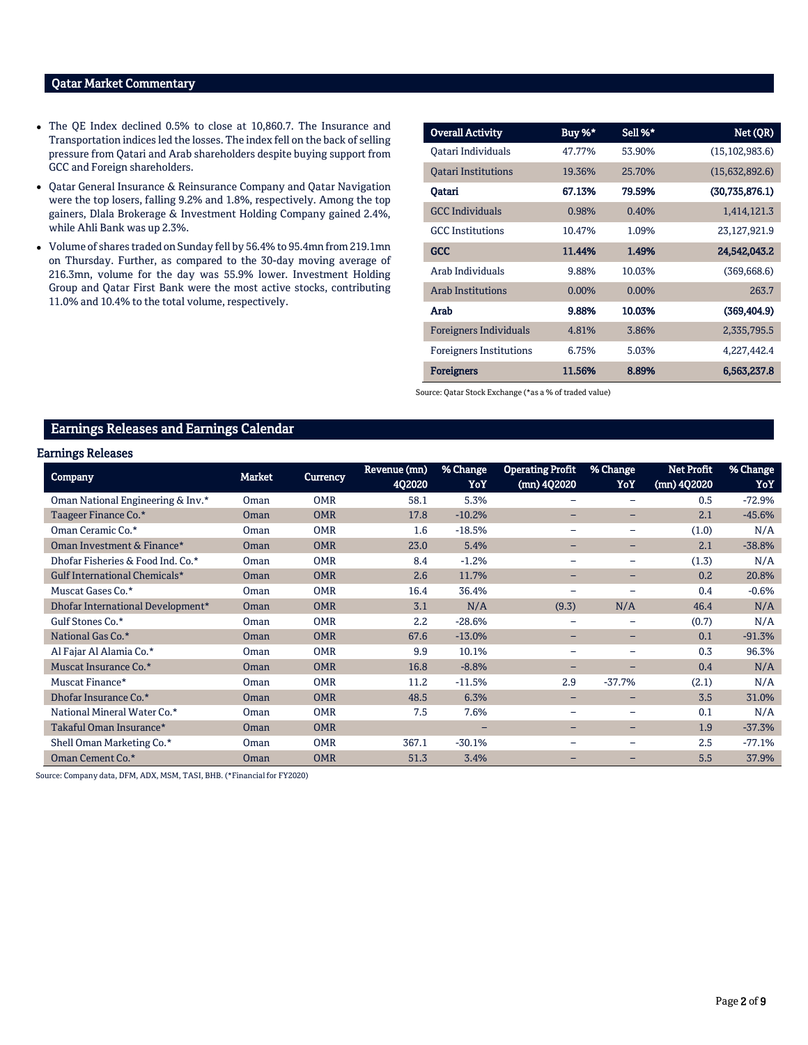# Qatar Market Commentary

- The QE Index declined 0.5% to close at 10,860.7. The Insurance and Transportation indices led the losses. The index fell on the back of selling pressure from Qatari and Arab shareholders despite buying support from GCC and Foreign shareholders.
- Qatar General Insurance & Reinsurance Company and Qatar Navigation were the top losers, falling 9.2% and 1.8%, respectively. Among the top gainers, Dlala Brokerage & Investment Holding Company gained 2.4%, while Ahli Bank was up 2.3%.
- Volume of shares traded on Sunday fell by 56.4% to 95.4mn from 219.1mn on Thursday. Further, as compared to the 30-day moving average of 216.3mn, volume for the day was 55.9% lower. Investment Holding Group and Qatar First Bank were the most active stocks, contributing 11.0% and 10.4% to the total volume, respectively.

| <b>Overall Activity</b>        | Buy %*   | Sell %*  | Net (QR)         |
|--------------------------------|----------|----------|------------------|
| Oatari Individuals             | 47.77%   | 53.90%   | (15, 102, 983.6) |
| <b>Oatari Institutions</b>     | 19.36%   | 25.70%   | (15,632,892.6)   |
| Oatari                         | 67.13%   | 79.59%   | (30,735,876.1)   |
| <b>GCC Individuals</b>         | 0.98%    | 0.40%    | 1,414,121.3      |
| <b>GCC</b> Institutions        | 10.47%   | 1.09%    | 23,127,921.9     |
| GCC                            | 11.44%   | 1.49%    | 24,542,043.2     |
| Arab Individuals               | 9.88%    | 10.03%   | (369, 668.6)     |
| <b>Arab Institutions</b>       | $0.00\%$ | $0.00\%$ | 263.7            |
| Arab                           | 9.88%    | 10.03%   | (369, 404.9)     |
| <b>Foreigners Individuals</b>  | 4.81%    | 3.86%    | 2,335,795.5      |
| <b>Foreigners Institutions</b> | 6.75%    | 5.03%    | 4,227,442.4      |
| <b>Foreigners</b>              | 11.56%   | 8.89%    | 6,563,237.8      |

Source: Qatar Stock Exchange (\*as a % of traded value)

# Earnings Releases and Earnings Calendar

#### Earnings Releases

| <b>Company</b>                    | <b>Market</b> | Currency   | Revenue (mn)<br>4Q2020 | % Change<br>YoY | <b>Operating Profit</b><br>(mn) 4Q2020 | % Change<br>YoY          | <b>Net Profit</b><br>(mn) 4Q2020 | % Change<br>YoY |
|-----------------------------------|---------------|------------|------------------------|-----------------|----------------------------------------|--------------------------|----------------------------------|-----------------|
| Oman National Engineering & Inv.* | Oman          | <b>OMR</b> | 58.1                   | 5.3%            | -                                      |                          | 0.5                              | $-72.9%$        |
| Taageer Finance Co.*              | <b>Oman</b>   | <b>OMR</b> | 17.8                   | $-10.2%$        | -                                      |                          | 2.1                              | $-45.6%$        |
| Oman Ceramic Co.*                 | Oman          | <b>OMR</b> | 1.6                    | $-18.5%$        | -                                      | -                        | (1.0)                            | N/A             |
| Oman Investment & Finance*        | <b>Oman</b>   | <b>OMR</b> | 23.0                   | 5.4%            | -                                      | -                        | 2.1                              | $-38.8%$        |
| Dhofar Fisheries & Food Ind. Co.* | Oman          | <b>OMR</b> | 8.4                    | $-1.2%$         |                                        | $\overline{\phantom{0}}$ | (1.3)                            | N/A             |
| Gulf International Chemicals*     | Oman          | <b>OMR</b> | 2.6                    | 11.7%           | -                                      | -                        | 0.2                              | 20.8%           |
| Muscat Gases Co.*                 | Oman          | <b>OMR</b> | 16.4                   | 36.4%           |                                        |                          | 0.4                              | $-0.6%$         |
| Dhofar International Development* | <b>Oman</b>   | <b>OMR</b> | 3.1                    | N/A             | (9.3)                                  | N/A                      | 46.4                             | N/A             |
| Gulf Stones Co.*                  | Oman          | <b>OMR</b> | $2.2\phantom{0}$       | $-28.6%$        |                                        |                          | (0.7)                            | N/A             |
| National Gas Co.*                 | Oman          | <b>OMR</b> | 67.6                   | $-13.0%$        | -                                      | -                        | 0.1                              | $-91.3%$        |
| Al Fajar Al Alamia Co.*           | Oman          | <b>OMR</b> | 9.9                    | 10.1%           |                                        |                          | 0.3                              | 96.3%           |
| Muscat Insurance Co.*             | <b>Oman</b>   | <b>OMR</b> | 16.8                   | $-8.8%$         | -                                      |                          | 0.4                              | N/A             |
| Muscat Finance*                   | Oman          | <b>OMR</b> | 11.2                   | $-11.5%$        | 2.9                                    | $-37.7%$                 | (2.1)                            | N/A             |
| Dhofar Insurance Co.*             | <b>Oman</b>   | <b>OMR</b> | 48.5                   | 6.3%            | -                                      | -                        | 3.5                              | 31.0%           |
| National Mineral Water Co.*       | Oman          | <b>OMR</b> | 7.5                    | 7.6%            |                                        |                          | 0.1                              | N/A             |
| Takaful Oman Insurance*           | Oman          | <b>OMR</b> |                        | -               | -                                      | -                        | 1.9                              | $-37.3%$        |
| Shell Oman Marketing Co.*         | Oman          | <b>OMR</b> | 367.1                  | $-30.1%$        |                                        |                          | 2.5                              | $-77.1%$        |
| Oman Cement Co.*                  | <b>Oman</b>   | <b>OMR</b> | 51.3                   | 3.4%            |                                        |                          | 5.5                              | 37.9%           |

Source: Company data, DFM, ADX, MSM, TASI, BHB. (\*Financial for FY2020)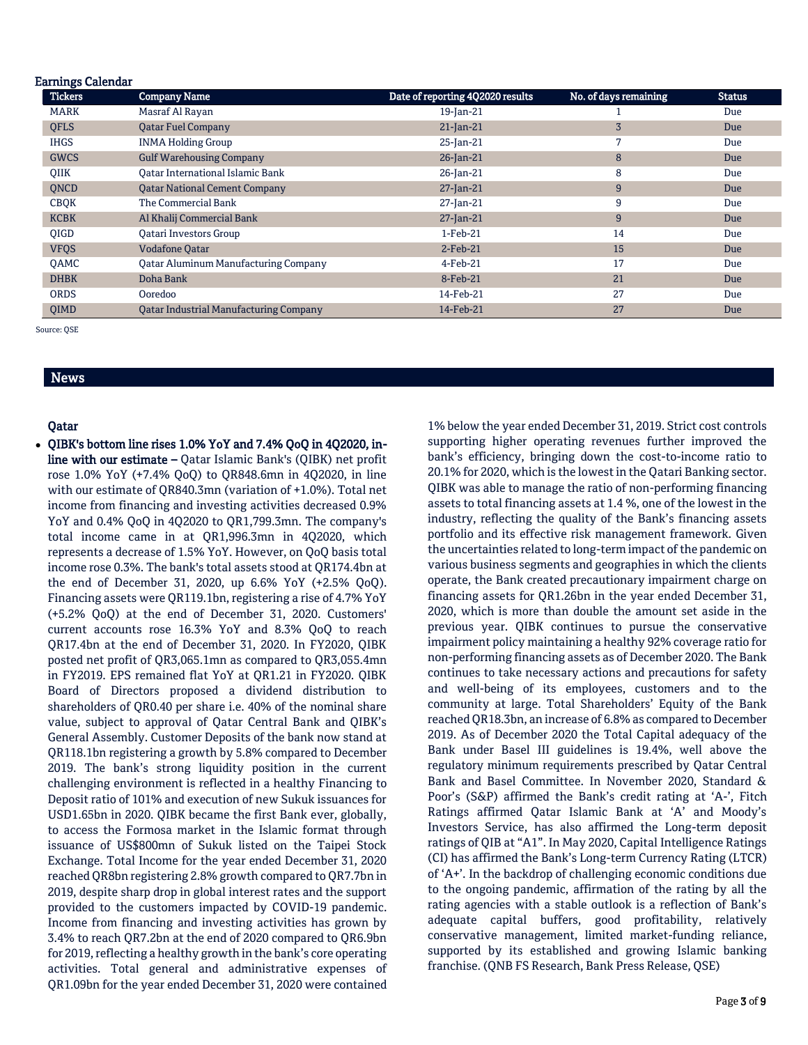| <b>Earnings Calendar</b> |                                               |                                  |                       |               |
|--------------------------|-----------------------------------------------|----------------------------------|-----------------------|---------------|
| <b>Tickers</b>           | <b>Company Name</b>                           | Date of reporting 4Q2020 results | No. of days remaining | <b>Status</b> |
| <b>MARK</b>              | Masraf Al Rayan                               | 19-Jan-21                        |                       | Due           |
| <b>QFLS</b>              | <b>Qatar Fuel Company</b>                     | $21$ -Jan-21                     | 3                     | Due           |
| <b>IHGS</b>              | <b>INMA Holding Group</b>                     | 25-Jan-21                        | 7                     | Due           |
| <b>GWCS</b>              | <b>Gulf Warehousing Company</b>               | 26-Jan-21                        | 8                     | Due           |
| <b>OIIK</b>              | Oatar International Islamic Bank              | 26-Jan-21                        | 8                     | Due           |
| QNCD                     | <b>Qatar National Cement Company</b>          | $27$ -Jan-21                     | 9                     | Due           |
| <b>CBQK</b>              | The Commercial Bank                           | $27$ -Jan-21                     | 9                     | Due           |
| <b>KCBK</b>              | Al Khalij Commercial Bank                     | $27$ -Jan-21                     | 9                     | Due           |
| <b>OIGD</b>              | <b>Oatari Investors Group</b>                 | $1-Feb-21$                       | 14                    | Due           |
| <b>VFQS</b>              | <b>Vodafone Oatar</b>                         | $2$ -Feb-21                      | 15                    | Due           |
| QAMC                     | <b>Qatar Aluminum Manufacturing Company</b>   | $4$ -Feb-21                      | 17                    | Due           |
| <b>DHBK</b>              | Doha Bank                                     | 8-Feb-21                         | 21                    | Due           |
| <b>ORDS</b>              | Ooredoo                                       | 14-Feb-21                        | 27                    | Due           |
| <b>OIMD</b>              | <b>Qatar Industrial Manufacturing Company</b> | 14-Feb-21                        | 27                    | Due           |

Source: QSE

# News

### Qatar

 QIBK's bottom line rises 1.0% YoY and 7.4% QoQ in 4Q2020, inline with our estimate – Qatar Islamic Bank's (QIBK) net profit rose 1.0% YoY (+7.4% QoQ) to QR848.6mn in 4Q2020, in line with our estimate of QR840.3mn (variation of +1.0%). Total net income from financing and investing activities decreased 0.9% YoY and 0.4% QoQ in 4Q2020 to QR1,799.3mn. The company's total income came in at QR1,996.3mn in 4Q2020, which represents a decrease of 1.5% YoY. However, on QoQ basis total income rose 0.3%. The bank's total assets stood at QR174.4bn at the end of December 31, 2020, up 6.6% YoY (+2.5% QoQ). Financing assets were QR119.1bn, registering a rise of 4.7% YoY (+5.2% QoQ) at the end of December 31, 2020. Customers' current accounts rose 16.3% YoY and 8.3% QoQ to reach QR17.4bn at the end of December 31, 2020. In FY2020, QIBK posted net profit of QR3,065.1mn as compared to QR3,055.4mn in FY2019. EPS remained flat YoY at QR1.21 in FY2020. QIBK Board of Directors proposed a dividend distribution to shareholders of QR0.40 per share i.e. 40% of the nominal share value, subject to approval of Qatar Central Bank and QIBK's General Assembly. Customer Deposits of the bank now stand at QR118.1bn registering a growth by 5.8% compared to December 2019. The bank's strong liquidity position in the current challenging environment is reflected in a healthy Financing to Deposit ratio of 101% and execution of new Sukuk issuances for USD1.65bn in 2020. QIBK became the first Bank ever, globally, to access the Formosa market in the Islamic format through issuance of US\$800mn of Sukuk listed on the Taipei Stock Exchange. Total Income for the year ended December 31, 2020 reached QR8bn registering 2.8% growth compared to QR7.7bn in 2019, despite sharp drop in global interest rates and the support provided to the customers impacted by COVID-19 pandemic. Income from financing and investing activities has grown by 3.4% to reach QR7.2bn at the end of 2020 compared to QR6.9bn for 2019, reflecting a healthy growth in the bank's core operating activities. Total general and administrative expenses of QR1.09bn for the year ended December 31, 2020 were contained

1% below the year ended December 31, 2019. Strict cost controls supporting higher operating revenues further improved the bank's efficiency, bringing down the cost-to-income ratio to 20.1% for 2020, which is the lowest in the Qatari Banking sector. QIBK was able to manage the ratio of non-performing financing assets to total financing assets at 1.4 %, one of the lowest in the industry, reflecting the quality of the Bank's financing assets portfolio and its effective risk management framework. Given the uncertainties related to long-term impact of the pandemic on various business segments and geographies in which the clients operate, the Bank created precautionary impairment charge on financing assets for QR1.26bn in the year ended December 31, 2020, which is more than double the amount set aside in the previous year. QIBK continues to pursue the conservative impairment policy maintaining a healthy 92% coverage ratio for non-performing financing assets as of December 2020. The Bank continues to take necessary actions and precautions for safety and well-being of its employees, customers and to the community at large. Total Shareholders' Equity of the Bank reached QR18.3bn, an increase of 6.8% as compared to December 2019. As of December 2020 the Total Capital adequacy of the Bank under Basel III guidelines is 19.4%, well above the regulatory minimum requirements prescribed by Qatar Central Bank and Basel Committee. In November 2020, Standard & Poor's (S&P) affirmed the Bank's credit rating at 'A-', Fitch Ratings affirmed Qatar Islamic Bank at 'A' and Moody's Investors Service, has also affirmed the Long-term deposit ratings of QIB at "A1". In May 2020, Capital Intelligence Ratings (CI) has affirmed the Bank's Long-term Currency Rating (LTCR) of 'A+'. In the backdrop of challenging economic conditions due to the ongoing pandemic, affirmation of the rating by all the rating agencies with a stable outlook is a reflection of Bank's adequate capital buffers, good profitability, relatively conservative management, limited market-funding reliance, supported by its established and growing Islamic banking franchise. (QNB FS Research, Bank Press Release, QSE)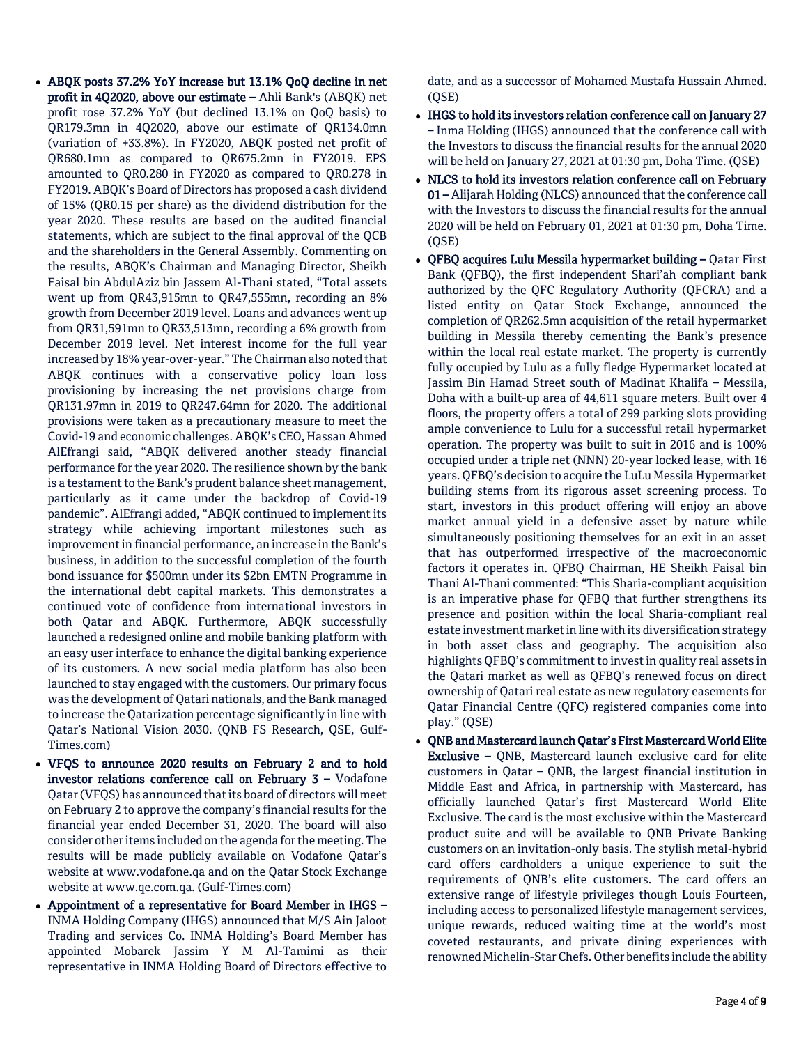- ABQK posts 37.2% YoY increase but 13.1% QoQ decline in net profit in 4Q2020, above our estimate – Ahli Bank's (ABQK) net profit rose 37.2% YoY (but declined 13.1% on QoQ basis) to QR179.3mn in 4Q2020, above our estimate of QR134.0mn (variation of +33.8%). In FY2020, ABQK posted net profit of QR680.1mn as compared to QR675.2mn in FY2019. EPS amounted to QR0.280 in FY2020 as compared to QR0.278 in FY2019. ABQK's Board of Directors has proposed a cash dividend of 15% (QR0.15 per share) as the dividend distribution for the year 2020. These results are based on the audited financial statements, which are subject to the final approval of the QCB and the shareholders in the General Assembly. Commenting on the results, ABQK's Chairman and Managing Director, Sheikh Faisal bin AbdulAziz bin Jassem Al-Thani stated, "Total assets went up from QR43,915mn to QR47,555mn, recording an 8% growth from December 2019 level. Loans and advances went up from QR31,591mn to QR33,513mn, recording a 6% growth from December 2019 level. Net interest income for the full year increased by 18% year-over-year." The Chairman also noted that ABQK continues with a conservative policy loan loss provisioning by increasing the net provisions charge from QR131.97mn in 2019 to QR247.64mn for 2020. The additional provisions were taken as a precautionary measure to meet the Covid-19 and economic challenges. ABQK's CEO, Hassan Ahmed AlEfrangi said, "ABQK delivered another steady financial performance for the year 2020. The resilience shown by the bank is a testament to the Bank's prudent balance sheet management, particularly as it came under the backdrop of Covid-19 pandemic". AlEfrangi added, "ABQK continued to implement its strategy while achieving important milestones such as improvement in financial performance, an increase in the Bank's business, in addition to the successful completion of the fourth bond issuance for \$500mn under its \$2bn EMTN Programme in the international debt capital markets. This demonstrates a continued vote of confidence from international investors in both Qatar and ABQK. Furthermore, ABQK successfully launched a redesigned online and mobile banking platform with an easy user interface to enhance the digital banking experience of its customers. A new social media platform has also been launched to stay engaged with the customers. Our primary focus was the development of Qatari nationals, and the Bank managed to increase the Qatarization percentage significantly in line with Qatar's National Vision 2030. (QNB FS Research, QSE, Gulf-Times.com)
- VFQS to announce 2020 results on February 2 and to hold investor relations conference call on February 3 – Vodafone Qatar (VFQS) has announced that its board of directors will meet on February 2 to approve the company's financial results for the financial year ended December 31, 2020. The board will also consider other items included on the agenda for the meeting. The results will be made publicly available on Vodafone Qatar's website at [www.vodafone.qa](http://www.vodafone.qa/) and on the Qatar Stock Exchange website a[t www.qe.com.qa.](http://www.qe.com.qa/) (Gulf-Times.com)
- Appointment of a representative for Board Member in IHGS INMA Holding Company (IHGS) announced that M/S Ain Jaloot Trading and services Co. INMA Holding's Board Member has appointed Mobarek Jassim Y M Al-Tamimi as their representative in INMA Holding Board of Directors effective to

date, and as a successor of Mohamed Mustafa Hussain Ahmed.  $(OSE)$ 

- IHGS to hold its investors relation conference call on January 27 – Inma Holding (IHGS) announced that the conference call with the Investors to discuss the financial results for the annual 2020 will be held on January 27, 2021 at 01:30 pm, Doha Time. (QSE)
- NLCS to hold its investors relation conference call on February 01 – Alijarah Holding (NLCS) announced that the conference call with the Investors to discuss the financial results for the annual 2020 will be held on February 01, 2021 at 01:30 pm, Doha Time. (QSE)
- QFBQ acquires Lulu Messila hypermarket building Qatar First Bank (QFBQ), the first independent Shari'ah compliant bank authorized by the QFC Regulatory Authority (QFCRA) and a listed entity on Qatar Stock Exchange, announced the completion of QR262.5mn acquisition of the retail hypermarket building in Messila thereby cementing the Bank's presence within the local real estate market. The property is currently fully occupied by Lulu as a fully fledge Hypermarket located at Jassim Bin Hamad Street south of Madinat Khalifa – Messila, Doha with a built-up area of 44,611 square meters. Built over 4 floors, the property offers a total of 299 parking slots providing ample convenience to Lulu for a successful retail hypermarket operation. The property was built to suit in 2016 and is 100% occupied under a triple net (NNN) 20-year locked lease, with 16 years. QFBQ's decision to acquire the LuLu Messila Hypermarket building stems from its rigorous asset screening process. To start, investors in this product offering will enjoy an above market annual yield in a defensive asset by nature while simultaneously positioning themselves for an exit in an asset that has outperformed irrespective of the macroeconomic factors it operates in. QFBQ Chairman, HE Sheikh Faisal bin Thani Al-Thani commented: "This Sharia-compliant acquisition is an imperative phase for QFBQ that further strengthens its presence and position within the local Sharia-compliant real estate investment market in line with its diversification strategy in both asset class and geography. The acquisition also highlights QFBQ's commitment to invest in quality real assets in the Qatari market as well as QFBQ's renewed focus on direct ownership of Qatari real estate as new regulatory easements for Qatar Financial Centre (QFC) registered companies come into play." (QSE)
- QNB and Mastercard launch Qatar's First Mastercard World Elite Exclusive – QNB, Mastercard launch exclusive card for elite customers in Qatar – QNB, the largest financial institution in Middle East and Africa, in partnership with Mastercard, has officially launched Qatar's first Mastercard World Elite Exclusive. The card is the most exclusive within the Mastercard product suite and will be available to QNB Private Banking customers on an invitation-only basis. The stylish metal-hybrid card offers cardholders a unique experience to suit the requirements of QNB's elite customers. The card offers an extensive range of lifestyle privileges though Louis Fourteen, including access to personalized lifestyle management services, unique rewards, reduced waiting time at the world's most coveted restaurants, and private dining experiences with renowned Michelin-Star Chefs. Other benefits include the ability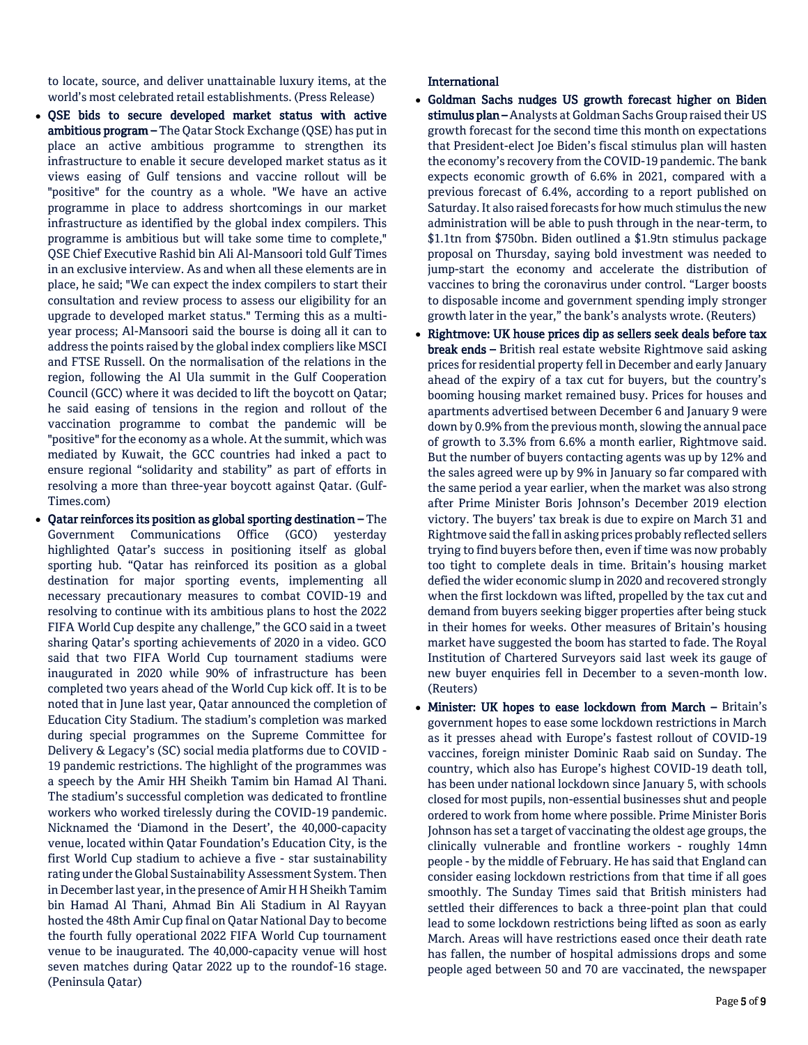to locate, source, and deliver unattainable luxury items, at the world's most celebrated retail establishments. (Press Release)

- QSE bids to secure developed market status with active ambitious program - The Qatar Stock Exchange (QSE) has put in place an active ambitious programme to strengthen its infrastructure to enable it secure developed market status as it views easing of Gulf tensions and vaccine rollout will be "positive" for the country as a whole. "We have an active programme in place to address shortcomings in our market infrastructure as identified by the global index compilers. This programme is ambitious but will take some time to complete," QSE Chief Executive Rashid bin Ali Al-Mansoori told Gulf Times in an exclusive interview. As and when all these elements are in place, he said; "We can expect the index compilers to start their consultation and review process to assess our eligibility for an upgrade to developed market status." Terming this as a multiyear process; Al-Mansoori said the bourse is doing all it can to address the points raised by the global index compliers like MSCI and FTSE Russell. On the normalisation of the relations in the region, following the Al Ula summit in the Gulf Cooperation Council (GCC) where it was decided to lift the boycott on Qatar; he said easing of tensions in the region and rollout of the vaccination programme to combat the pandemic will be "positive" for the economy as a whole. At the summit, which was mediated by Kuwait, the GCC countries had inked a pact to ensure regional "solidarity and stability" as part of efforts in resolving a more than three-year boycott against Qatar. (Gulf-Times.com)
- Qatar reinforces its position as global sporting destination The Government Communications Office (GCO) yesterday highlighted Qatar's success in positioning itself as global sporting hub. "Qatar has reinforced its position as a global destination for major sporting events, implementing all necessary precautionary measures to combat COVID-19 and resolving to continue with its ambitious plans to host the 2022 FIFA World Cup despite any challenge," the GCO said in a tweet sharing Qatar's sporting achievements of 2020 in a video. GCO said that two FIFA World Cup tournament stadiums were inaugurated in 2020 while 90% of infrastructure has been completed two years ahead of the World Cup kick off. It is to be noted that in June last year, Qatar announced the completion of Education City Stadium. The stadium's completion was marked during special programmes on the Supreme Committee for Delivery & Legacy's (SC) social media platforms due to COVID - 19 pandemic restrictions. The highlight of the programmes was a speech by the Amir HH Sheikh Tamim bin Hamad Al Thani. The stadium's successful completion was dedicated to frontline workers who worked tirelessly during the COVID-19 pandemic. Nicknamed the 'Diamond in the Desert', the 40,000-capacity venue, located within Qatar Foundation's Education City, is the first World Cup stadium to achieve a five - star sustainability rating under the Global Sustainability Assessment System. Then in December last year, in the presence of Amir H H Sheikh Tamim bin Hamad Al Thani, Ahmad Bin Ali Stadium in Al Rayyan hosted the 48th Amir Cup final on Qatar National Day to become the fourth fully operational 2022 FIFA World Cup tournament venue to be inaugurated. The 40,000-capacity venue will host seven matches during Qatar 2022 up to the roundof-16 stage. (Peninsula Qatar)

### International

- Goldman Sachs nudges US growth forecast higher on Biden stimulus plan - Analysts at Goldman Sachs Group raised their US growth forecast for the second time this month on expectations that President-elect Joe Biden's fiscal stimulus plan will hasten the economy's recovery from the COVID-19 pandemic. The bank expects economic growth of 6.6% in 2021, compared with a previous forecast of 6.4%, according to a report published on Saturday. It also raised forecasts for how much stimulus the new administration will be able to push through in the near-term, to \$1.1tn from \$750bn. Biden outlined a \$1.9tn stimulus package proposal on Thursday, saying bold investment was needed to jump-start the economy and accelerate the distribution of vaccines to bring the coronavirus under control. "Larger boosts to disposable income and government spending imply stronger growth later in the year," the bank's analysts wrote. (Reuters)
- Rightmove: UK house prices dip as sellers seek deals before tax break ends - British real estate website Rightmove said asking prices for residential property fell in December and early January ahead of the expiry of a tax cut for buyers, but the country's booming housing market remained busy. Prices for houses and apartments advertised between December 6 and January 9 were down by 0.9% from the previous month, slowing the annual pace of growth to 3.3% from 6.6% a month earlier, Rightmove said. But the number of buyers contacting agents was up by 12% and the sales agreed were up by 9% in January so far compared with the same period a year earlier, when the market was also strong after Prime Minister Boris Johnson's December 2019 election victory. The buyers' tax break is due to expire on March 31 and Rightmove said the fall in asking prices probably reflected sellers trying to find buyers before then, even if time was now probably too tight to complete deals in time. Britain's housing market defied the wider economic slump in 2020 and recovered strongly when the first lockdown was lifted, propelled by the tax cut and demand from buyers seeking bigger properties after being stuck in their homes for weeks. Other measures of Britain's housing market have suggested the boom has started to fade. The Royal Institution of Chartered Surveyors said last week its gauge of new buyer enquiries fell in December to a seven-month low. (Reuters)
- Minister: UK hopes to ease lockdown from March Britain's government hopes to ease some lockdown restrictions in March as it presses ahead with Europe's fastest rollout of COVID-19 vaccines, foreign minister Dominic Raab said on Sunday. The country, which also has Europe's highest COVID-19 death toll, has been under national lockdown since January 5, with schools closed for most pupils, non-essential businesses shut and people ordered to work from home where possible. Prime Minister Boris Johnson has set a target of vaccinating the oldest age groups, the clinically vulnerable and frontline workers - roughly 14mn people - by the middle of February. He has said that England can consider easing lockdown restrictions from that time if all goes smoothly. The Sunday Times said that British ministers had settled their differences to back a three-point plan that could lead to some lockdown restrictions being lifted as soon as early March. Areas will have restrictions eased once their death rate has fallen, the number of hospital admissions drops and some people aged between 50 and 70 are vaccinated, the newspaper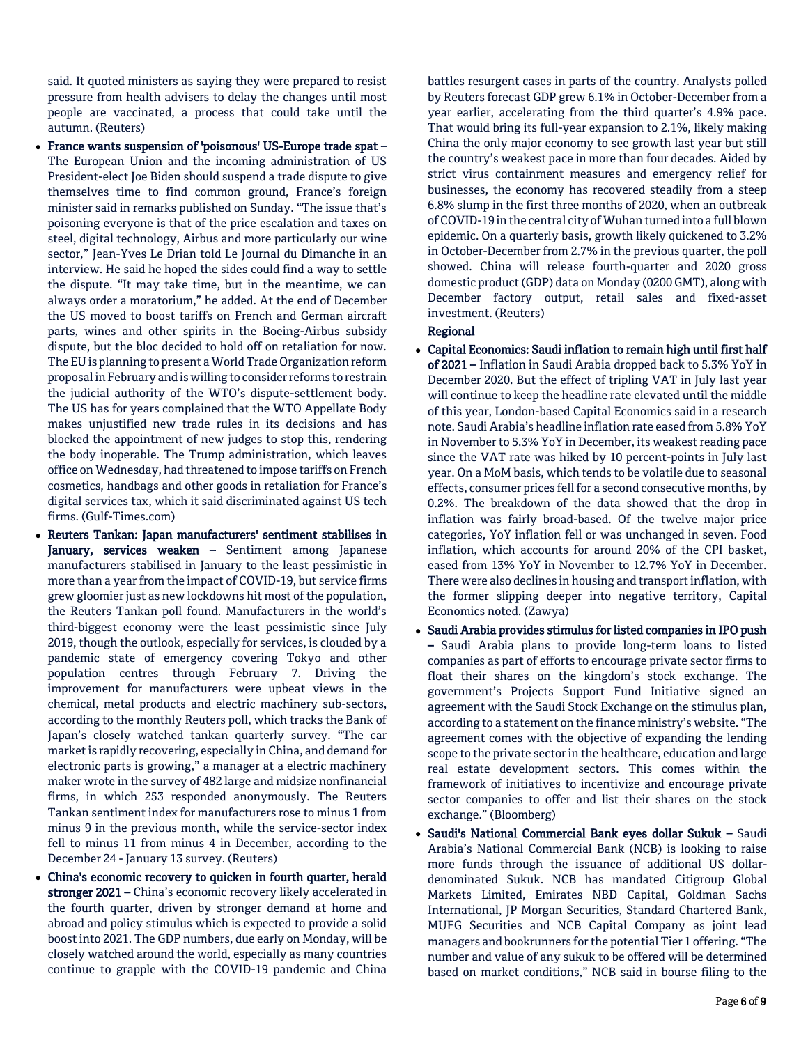said. It quoted ministers as saying they were prepared to resist pressure from health advisers to delay the changes until most people are vaccinated, a process that could take until the autumn. (Reuters)

- France wants suspension of 'poisonous' US-Europe trade spat The European Union and the incoming administration of US President-elect Joe Biden should suspend a trade dispute to give themselves time to find common ground, France's foreign minister said in remarks published on Sunday. "The issue that's poisoning everyone is that of the price escalation and taxes on steel, digital technology, Airbus and more particularly our wine sector," Jean-Yves Le Drian told Le Journal du Dimanche in an interview. He said he hoped the sides could find a way to settle the dispute. "It may take time, but in the meantime, we can always order a moratorium," he added. At the end of December the US moved to boost tariffs on French and German aircraft parts, wines and other spirits in the Boeing-Airbus subsidy dispute, but the bloc decided to hold off on retaliation for now. The EU is planning to present a World Trade Organization reform proposal in February and is willing to consider reforms to restrain the judicial authority of the WTO's dispute-settlement body. The US has for years complained that the WTO Appellate Body makes unjustified new trade rules in its decisions and has blocked the appointment of new judges to stop this, rendering the body inoperable. The Trump administration, which leaves office on Wednesday, had threatened to impose tariffs on French cosmetics, handbags and other goods in retaliation for France's digital services tax, which it said discriminated against US tech firms. (Gulf-Times.com)
- Reuters Tankan: Japan manufacturers' sentiment stabilises in January, services weaken - Sentiment among Japanese manufacturers stabilised in January to the least pessimistic in more than a year from the impact of COVID-19, but service firms grew gloomier just as new lockdowns hit most of the population, the Reuters Tankan poll found. Manufacturers in the world's third-biggest economy were the least pessimistic since July 2019, though the outlook, especially for services, is clouded by a pandemic state of emergency covering Tokyo and other population centres through February 7. Driving the improvement for manufacturers were upbeat views in the chemical, metal products and electric machinery sub-sectors, according to the monthly Reuters poll, which tracks the Bank of Japan's closely watched tankan quarterly survey. "The car market is rapidly recovering, especially in China, and demand for electronic parts is growing," a manager at a electric machinery maker wrote in the survey of 482 large and midsize nonfinancial firms, in which 253 responded anonymously. The Reuters Tankan sentiment index for manufacturers rose to minus 1 from minus 9 in the previous month, while the service-sector index fell to minus 11 from minus 4 in December, according to the December 24 - January 13 survey. (Reuters)
- China's economic recovery to quicken in fourth quarter, herald stronger 2021 – China's economic recovery likely accelerated in the fourth quarter, driven by stronger demand at home and abroad and policy stimulus which is expected to provide a solid boost into 2021. The GDP numbers, due early on Monday, will be closely watched around the world, especially as many countries continue to grapple with the COVID-19 pandemic and China

battles resurgent cases in parts of the country. Analysts polled by Reuters forecast GDP grew 6.1% in October-December from a year earlier, accelerating from the third quarter's 4.9% pace. That would bring its full-year expansion to 2.1%, likely making China the only major economy to see growth last year but still the country's weakest pace in more than four decades. Aided by strict virus containment measures and emergency relief for businesses, the economy has recovered steadily from a steep 6.8% slump in the first three months of 2020, when an outbreak of COVID-19 in the central city of Wuhan turned into a full blown epidemic. On a quarterly basis, growth likely quickened to 3.2% in October-December from 2.7% in the previous quarter, the poll showed. China will release fourth-quarter and 2020 gross domestic product (GDP) data on Monday (0200 GMT), along with December factory output, retail sales and fixed-asset investment. (Reuters)

# Regional

- Capital Economics: Saudi inflation to remain high until first half of 2021 – Inflation in Saudi Arabia dropped back to 5.3% YoY in December 2020. But the effect of tripling VAT in July last year will continue to keep the headline rate elevated until the middle of this year, London-based Capital Economics said in a research note. Saudi Arabia's headline inflation rate eased from 5.8% YoY in November to 5.3% YoY in December, its weakest reading pace since the VAT rate was hiked by 10 percent-points in July last year. On a MoM basis, which tends to be volatile due to seasonal effects, consumer prices fell for a second consecutive months, by 0.2%. The breakdown of the data showed that the drop in inflation was fairly broad-based. Of the twelve major price categories, YoY inflation fell or was unchanged in seven. Food inflation, which accounts for around 20% of the CPI basket, eased from 13% YoY in November to 12.7% YoY in December. There were also declines in housing and transport inflation, with the former slipping deeper into negative territory, Capital Economics noted. (Zawya)
- Saudi Arabia provides stimulus for listed companies in IPO push – Saudi Arabia plans to provide long-term loans to listed companies as part of efforts to encourage private sector firms to float their shares on the kingdom's stock exchange. The government's Projects Support Fund Initiative signed an agreement with the Saudi Stock Exchange on the stimulus plan, according to a statement on the finance ministry's website. "The agreement comes with the objective of expanding the lending scope to the private sector in the healthcare, education and large real estate development sectors. This comes within the framework of initiatives to incentivize and encourage private sector companies to offer and list their shares on the stock exchange." (Bloomberg)
- Saudi's National Commercial Bank eyes dollar Sukuk Saudi Arabia's National Commercial Bank (NCB) is looking to raise more funds through the issuance of additional US dollardenominated Sukuk. NCB has mandated Citigroup Global Markets Limited, Emirates NBD Capital, Goldman Sachs International, JP Morgan Securities, Standard Chartered Bank, MUFG Securities and NCB Capital Company as joint lead managers and bookrunners for the potential Tier 1 offering. "The number and value of any sukuk to be offered will be determined based on market conditions," NCB said in bourse filing to the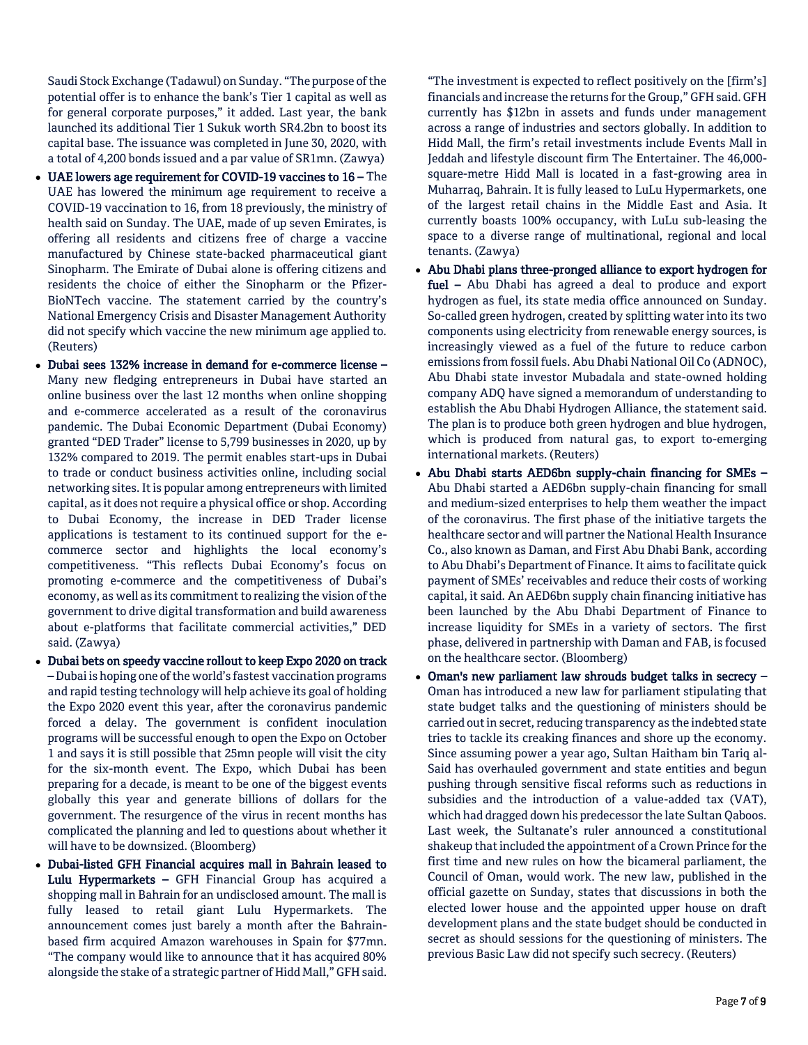Saudi Stock Exchange (Tadawul) on Sunday. "The purpose of the potential offer is to enhance the bank's Tier 1 capital as well as for general corporate purposes," it added. Last year, the bank launched its additional Tier 1 Sukuk worth SR4.2bn to boost its capital base. The issuance was completed in June 30, 2020, with a total of 4,200 bonds issued and a par value of SR1mn. (Zawya)

- UAE lowers age requirement for COVID-19 vaccines to 16 The UAE has lowered the minimum age requirement to receive a COVID-19 vaccination to 16, from 18 previously, the ministry of health said on Sunday. The UAE, made of up seven Emirates, is offering all residents and citizens free of charge a vaccine manufactured by Chinese state-backed pharmaceutical giant Sinopharm. The Emirate of Dubai alone is offering citizens and residents the choice of either the Sinopharm or the Pfizer-BioNTech vaccine. The statement carried by the country's National Emergency Crisis and Disaster Management Authority did not specify which vaccine the new minimum age applied to. (Reuters)
- Dubai sees 132% increase in demand for e-commerce license Many new fledging entrepreneurs in Dubai have started an online business over the last 12 months when online shopping and e-commerce accelerated as a result of the coronavirus pandemic. The Dubai Economic Department (Dubai Economy) granted "DED Trader" license to 5,799 businesses in 2020, up by 132% compared to 2019. The permit enables start-ups in Dubai to trade or conduct business activities online, including social networking sites. It is popular among entrepreneurs with limited capital, as it does not require a physical office or shop. According to Dubai Economy, the increase in DED Trader license applications is testament to its continued support for the ecommerce sector and highlights the local economy's competitiveness. "This reflects Dubai Economy's focus on promoting e-commerce and the competitiveness of Dubai's economy, as well as its commitment to realizing the vision of the government to drive digital transformation and build awareness about e-platforms that facilitate commercial activities," DED said. (Zawya)
- Dubai bets on speedy vaccine rollout to keep Expo 2020 on track – Dubai is hoping one of the world's fastest vaccination programs and rapid testing technology will help achieve its goal of holding the Expo 2020 event this year, after the coronavirus pandemic forced a delay. The government is confident inoculation programs will be successful enough to open the Expo on October 1 and says it is still possible that 25mn people will visit the city for the six-month event. The Expo, which Dubai has been preparing for a decade, is meant to be one of the biggest events globally this year and generate billions of dollars for the government. The resurgence of the virus in recent months has complicated the planning and led to questions about whether it will have to be downsized. (Bloomberg)
- Dubai-listed GFH Financial acquires mall in Bahrain leased to Lulu Hypermarkets – GFH Financial Group has acquired a shopping mall in Bahrain for an undisclosed amount. The mall is fully leased to retail giant Lulu Hypermarkets. The announcement comes just barely a month after the Bahrainbased firm acquired Amazon warehouses in Spain for \$77mn. "The company would like to announce that it has acquired 80% alongside the stake of a strategic partner of Hidd Mall," GFH said.

"The investment is expected to reflect positively on the [firm's] financials and increase the returns for the Group," GFH said. GFH currently has \$12bn in assets and funds under management across a range of industries and sectors globally. In addition to Hidd Mall, the firm's retail investments include Events Mall in Jeddah and lifestyle discount firm The Entertainer. The 46,000 square-metre Hidd Mall is located in a fast-growing area in Muharraq, Bahrain. It is fully leased to LuLu Hypermarkets, one of the largest retail chains in the Middle East and Asia. It currently boasts 100% occupancy, with LuLu sub-leasing the space to a diverse range of multinational, regional and local tenants. (Zawya)

- Abu Dhabi plans three-pronged alliance to export hydrogen for fuel – Abu Dhabi has agreed a deal to produce and export hydrogen as fuel, its state media office announced on Sunday. So-called green hydrogen, created by splitting water into its two components using electricity from renewable energy sources, is increasingly viewed as a fuel of the future to reduce carbon emissions from fossil fuels. Abu Dhabi National Oil Co (ADNOC), Abu Dhabi state investor Mubadala and state-owned holding company ADQ have signed a memorandum of understanding to establish the Abu Dhabi Hydrogen Alliance, the statement said. The plan is to produce both green hydrogen and blue hydrogen, which is produced from natural gas, to export to-emerging international markets. (Reuters)
- Abu Dhabi starts AED6bn supply-chain financing for SMEs Abu Dhabi started a AED6bn supply-chain financing for small and medium-sized enterprises to help them weather the impact of the coronavirus. The first phase of the initiative targets the healthcare sector and will partner the National Health Insurance Co., also known as Daman, and First Abu Dhabi Bank, according to Abu Dhabi's Department of Finance. It aims to facilitate quick payment of SMEs' receivables and reduce their costs of working capital, it said. An AED6bn supply chain financing initiative has been launched by the Abu Dhabi Department of Finance to increase liquidity for SMEs in a variety of sectors. The first phase, delivered in partnership with Daman and FAB, is focused on the healthcare sector. (Bloomberg)
- Oman's new parliament law shrouds budget talks in secrecy Oman has introduced a new law for parliament stipulating that state budget talks and the questioning of ministers should be carried out in secret, reducing transparency as the indebted state tries to tackle its creaking finances and shore up the economy. Since assuming power a year ago, Sultan Haitham bin Tariq al-Said has overhauled government and state entities and begun pushing through sensitive fiscal reforms such as reductions in subsidies and the introduction of a value-added tax (VAT), which had dragged down his predecessor the late Sultan Qaboos. Last week, the Sultanate's ruler announced a constitutional shakeup that included the appointment of a Crown Prince for the first time and new rules on how the bicameral parliament, the Council of Oman, would work. The new law, published in the official gazette on Sunday, states that discussions in both the elected lower house and the appointed upper house on draft development plans and the state budget should be conducted in secret as should sessions for the questioning of ministers. The previous Basic Law did not specify such secrecy. (Reuters)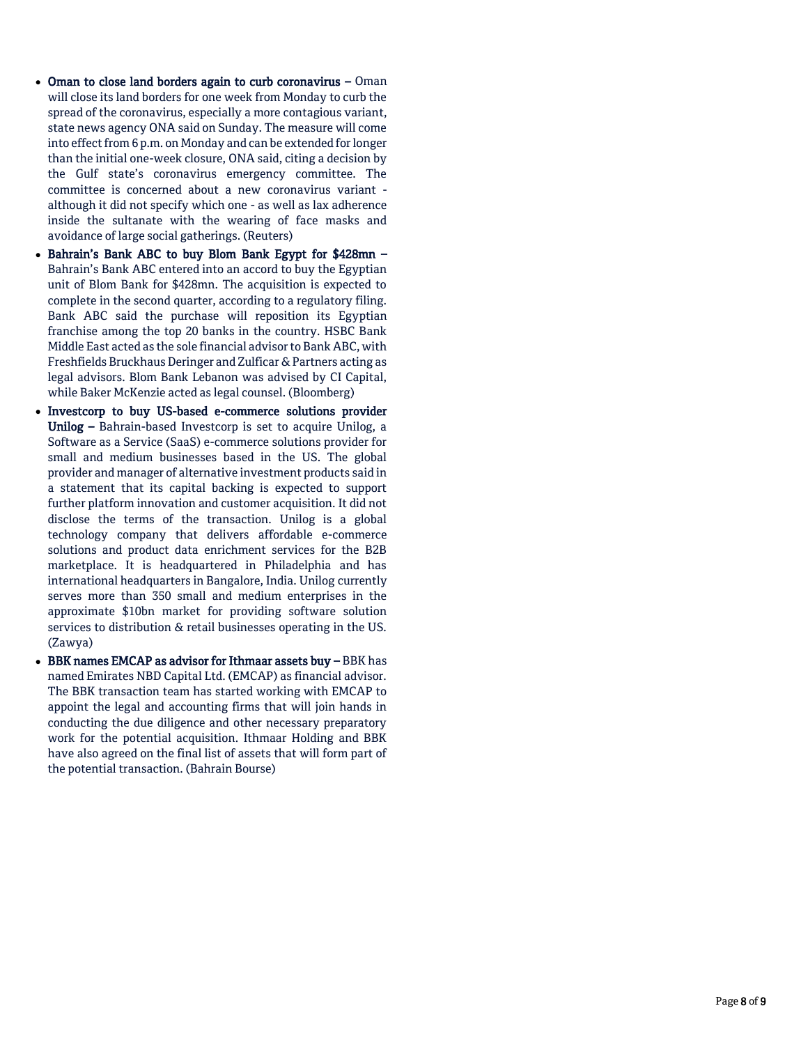- Oman to close land borders again to curb coronavirus Oman will close its land borders for one week from Monday to curb the spread of the coronavirus, especially a more contagious variant, state news agency ONA said on Sunday. The measure will come into effect from 6 p.m. on Monday and can be extended for longer than the initial one -week closure, ONA said, citing a decision by the Gulf state's coronavirus emergency committee. The committee is concerned about a new coronavirus variant although it did not specify which one - as well as lax adherence inside the sultanate with the wearing of face masks and avoidance of large social gatherings. (Reuters)
- Bahrain's Bank ABC to buy Blom Bank Egypt for \$428mn -Bahrain's Bank ABC entered into an accord to buy the Egyptian unit of Blom Bank for \$428mn. The acquisition is expected to complete in the second quarter, according to a regulatory filing. Bank ABC said the purchase will reposition its Egyptian franchise among the top 20 banks in the country. HSBC Bank Middle East acted as the sole financial advisor to Bank ABC, with Freshfields Bruckhaus Deringer and Zulficar & Partners acting as legal advisors. Blom Bank Lebanon was advised by CI Capital, while Baker McKenzie acted as legal counsel. (Bloomberg)
- Investcorp to buy US-based e-commerce solutions provider Unilog - Bahrain-based Investcorp is set to acquire Unilog, a Software as a Service (SaaS) e -commerce solutions provider for small and medium businesses based in the US. The global provider and manager of alternative investment products said in a statement that its capital backing is expected to support further platform innovation and customer acquisition. It did not disclose the terms of the transaction. Unilog is a global technology company that delivers affordable e -commerce solutions and product data enrichment services for the B2B marketplace. It is headquartered in Philadelphia and has international headquarters in Bangalore, India. Unilog currently serves more than 350 small and medium enterprises in the approximate \$10bn market for providing software solution services to distribution & retail businesses operating in the US. (Zawya)
- BBK names EMCAP as advisor for Ithmaar assets buy BBK has named Emirates NBD Capital Ltd. (EMCAP) as financial advisor. The BBK transaction team has started working with EMCAP to appoint the legal and accounting firms that will join hands in conducting the due diligence and other necessary preparatory work for the potential acquisition. Ithmaar Holding and BBK have also agreed on the final list of assets that will form part of the potential transaction. (Bahrain Bourse)